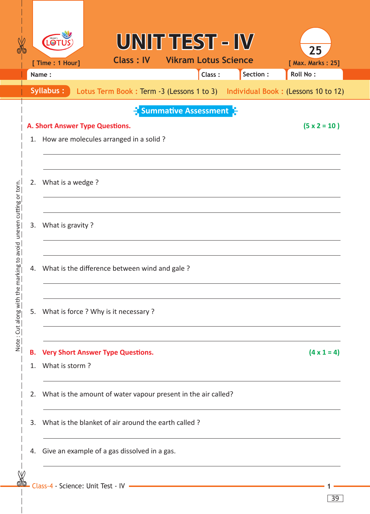|                                                                   |          | <b>LOT</b><br>[ Time : 1 Hour]                                                                                                                       |                                                                               | UNIT TEST - IV<br><b>Class: IV Vikram Lotus Science</b> |        |           | 25<br>[ Max. Marks: 25] |  |  |  |  |  |
|-------------------------------------------------------------------|----------|------------------------------------------------------------------------------------------------------------------------------------------------------|-------------------------------------------------------------------------------|---------------------------------------------------------|--------|-----------|-------------------------|--|--|--|--|--|
|                                                                   |          | Name:                                                                                                                                                |                                                                               |                                                         | Class: | Section : | Roll No:                |  |  |  |  |  |
|                                                                   |          | Syllabus:                                                                                                                                            | Lotus Term Book: Term -3 (Lessons 1 to 3) Individual Book: (Lessons 10 to 12) |                                                         |        |           |                         |  |  |  |  |  |
|                                                                   | 1.       | $\frac{1}{2}$ Summative Assessment $\frac{1}{2}$<br>$(5 \times 2 = 10)$<br>A. Short Answer Type Questions.<br>How are molecules arranged in a solid? |                                                                               |                                                         |        |           |                         |  |  |  |  |  |
|                                                                   | 2.       | What is a wedge?                                                                                                                                     |                                                                               |                                                         |        |           |                         |  |  |  |  |  |
| Note: Cut along with the marking to avoid uneven cutting or torn. | 3.       | What is gravity?                                                                                                                                     |                                                                               |                                                         |        |           |                         |  |  |  |  |  |
|                                                                   | 4.       | What is the difference between wind and gale?                                                                                                        |                                                                               |                                                         |        |           |                         |  |  |  |  |  |
|                                                                   | 5.       | What is force ? Why is it necessary ?                                                                                                                |                                                                               |                                                         |        |           |                         |  |  |  |  |  |
|                                                                   | В.<br>1. | <b>Very Short Answer Type Questions.</b><br>What is storm?                                                                                           | $(4 \times 1 = 4)$                                                            |                                                         |        |           |                         |  |  |  |  |  |
|                                                                   | 2.       | What is the amount of water vapour present in the air called?                                                                                        |                                                                               |                                                         |        |           |                         |  |  |  |  |  |
|                                                                   | 3.       | What is the blanket of air around the earth called?                                                                                                  |                                                                               |                                                         |        |           |                         |  |  |  |  |  |
|                                                                   | 4.       | Give an example of a gas dissolved in a gas.                                                                                                         |                                                                               |                                                         |        |           |                         |  |  |  |  |  |
|                                                                   |          |                                                                                                                                                      |                                                                               |                                                         |        |           |                         |  |  |  |  |  |

39